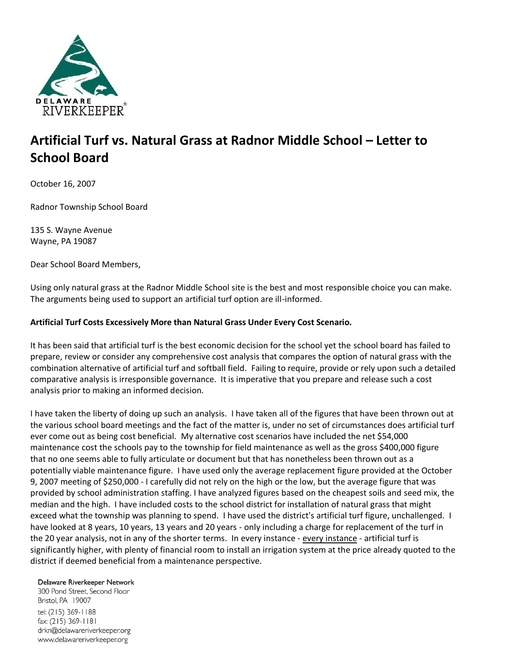

# **Artificial Turf vs. Natural Grass at Radnor Middle School – Letter to School Board**

October 16, 2007

Radnor Township School Board

135 S. Wayne Avenue Wayne, PA 19087

Dear School Board Members,

Using only natural grass at the Radnor Middle School site is the best and most responsible choice you can make. The arguments being used to support an artificial turf option are ill-informed.

#### **Artificial Turf Costs Excessively More than Natural Grass Under Every Cost Scenario.**

It has been said that artificial turf is the best economic decision for the school yet the school board has failed to prepare, review or consider any comprehensive cost analysis that compares the option of natural grass with the combination alternative of artificial turf and softball field. Failing to require, provide or rely upon such a detailed comparative analysis is irresponsible governance. It is imperative that you prepare and release such a cost analysis prior to making an informed decision.

I have taken the liberty of doing up such an analysis. I have taken all of the figures that have been thrown out at the various school board meetings and the fact of the matter is, under no set of circumstances does artificial turf ever come out as being cost beneficial. My alternative cost scenarios have included the net \$54,000 maintenance cost the schools pay to the township for field maintenance as well as the gross \$400,000 figure that no one seems able to fully articulate or document but that has nonetheless been thrown out as a potentially viable maintenance figure. I have used only the average replacement figure provided at the October 9, 2007 meeting of \$250,000 - I carefully did not rely on the high or the low, but the average figure that was provided by school administration staffing. I have analyzed figures based on the cheapest soils and seed mix, the median and the high. I have included costs to the school district for installation of natural grass that might exceed what the township was planning to spend. I have used the district's artificial turf figure, unchallenged. I have looked at 8 years, 10 years, 13 years and 20 years - only including a charge for replacement of the turf in the 20 year analysis, not in any of the shorter terms. In every instance - every instance - artificial turf is significantly higher, with plenty of financial room to install an irrigation system at the price already quoted to the district if deemed beneficial from a maintenance perspective.

#### Delaware Riverkeeper Network

300 Pond Street, Second Floor Bristol, PA 19007 tel: (215) 369-1188 fax: (215) 369-1181 drkn@delawareriverkeeper.org www.delawareriverkeeper.org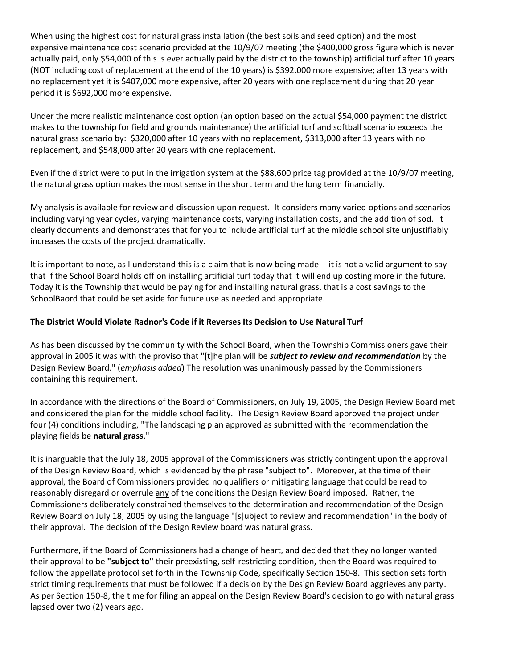When using the highest cost for natural grass installation (the best soils and seed option) and the most expensive maintenance cost scenario provided at the 10/9/07 meeting (the \$400,000 gross figure which is never actually paid, only \$54,000 of this is ever actually paid by the district to the township) artificial turf after 10 years (NOT including cost of replacement at the end of the 10 years) is \$392,000 more expensive; after 13 years with no replacement yet it is \$407,000 more expensive, after 20 years with one replacement during that 20 year period it is \$692,000 more expensive.

Under the more realistic maintenance cost option (an option based on the actual \$54,000 payment the district makes to the township for field and grounds maintenance) the artificial turf and softball scenario exceeds the natural grass scenario by: \$320,000 after 10 years with no replacement, \$313,000 after 13 years with no replacement, and \$548,000 after 20 years with one replacement.

Even if the district were to put in the irrigation system at the \$88,600 price tag provided at the 10/9/07 meeting, the natural grass option makes the most sense in the short term and the long term financially.

My analysis is available for review and discussion upon request. It considers many varied options and scenarios including varying year cycles, varying maintenance costs, varying installation costs, and the addition of sod. It clearly documents and demonstrates that for you to include artificial turf at the middle school site unjustifiably increases the costs of the project dramatically.

It is important to note, as I understand this is a claim that is now being made -- it is not a valid argument to say that if the School Board holds off on installing artificial turf today that it will end up costing more in the future. Today it is the Township that would be paying for and installing natural grass, that is a cost savings to the SchoolBaord that could be set aside for future use as needed and appropriate.

### **The District Would Violate Radnor's Code if it Reverses Its Decision to Use Natural Turf**

As has been discussed by the community with the School Board, when the Township Commissioners gave their approval in 2005 it was with the proviso that "[t]he plan will be *subject to review and recommendation* by the Design Review Board." (*emphasis added*) The resolution was unanimously passed by the Commissioners containing this requirement.

In accordance with the directions of the Board of Commissioners, on July 19, 2005, the Design Review Board met and considered the plan for the middle school facility. The Design Review Board approved the project under four (4) conditions including, "The landscaping plan approved as submitted with the recommendation the playing fields be **natural grass**."

It is inarguable that the July 18, 2005 approval of the Commissioners was strictly contingent upon the approval of the Design Review Board, which is evidenced by the phrase "subject to". Moreover, at the time of their approval, the Board of Commissioners provided no qualifiers or mitigating language that could be read to reasonably disregard or overrule any of the conditions the Design Review Board imposed. Rather, the Commissioners deliberately constrained themselves to the determination and recommendation of the Design Review Board on July 18, 2005 by using the language "[s]ubject to review and recommendation" in the body of their approval. The decision of the Design Review board was natural grass.

Furthermore, if the Board of Commissioners had a change of heart, and decided that they no longer wanted their approval to be **"subject to"** their preexisting, self-restricting condition, then the Board was required to follow the appellate protocol set forth in the Township Code, specifically Section 150-8. This section sets forth strict timing requirements that must be followed if a decision by the Design Review Board aggrieves any party. As per Section 150-8, the time for filing an appeal on the Design Review Board's decision to go with natural grass lapsed over two (2) years ago.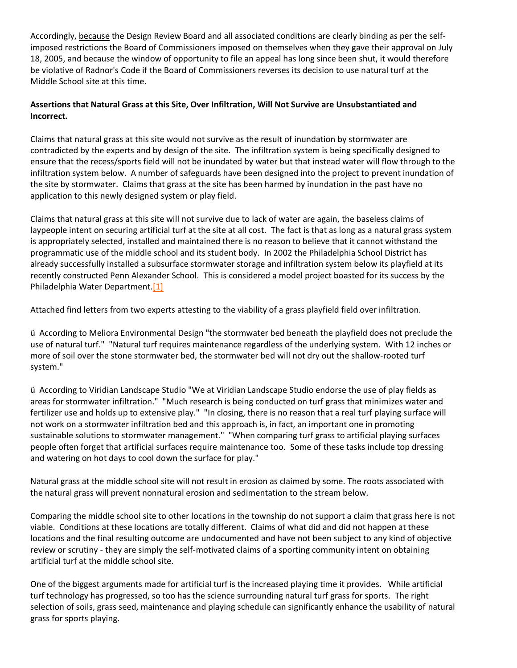Accordingly, because the Design Review Board and all associated conditions are clearly binding as per the selfimposed restrictions the Board of Commissioners imposed on themselves when they gave their approval on July 18, 2005, and because the window of opportunity to file an appeal has long since been shut, it would therefore be violative of Radnor's Code if the Board of Commissioners reverses its decision to use natural turf at the Middle School site at this time.

# **Assertions that Natural Grass at this Site, Over Infiltration, Will Not Survive are Unsubstantiated and Incorrect.**

Claims that natural grass at this site would not survive as the result of inundation by stormwater are contradicted by the experts and by design of the site. The infiltration system is being specifically designed to ensure that the recess/sports field will not be inundated by water but that instead water will flow through to the infiltration system below. A number of safeguards have been designed into the project to prevent inundation of the site by stormwater. Claims that grass at the site has been harmed by inundation in the past have no application to this newly designed system or play field.

Claims that natural grass at this site will not survive due to lack of water are again, the baseless claims of laypeople intent on securing artificial turf at the site at all cost. The fact is that as long as a natural grass system is appropriately selected, installed and maintained there is no reason to believe that it cannot withstand the programmatic use of the middle school and its student body. In 2002 the Philadelphia School District has already successfully installed a subsurface stormwater storage and infiltration system below its playfield at its recently constructed Penn Alexander School. This is considered a model project boasted for its success by the Philadelphia Water Department[.\[1\]](http://delawareriverkeeper.org/newsresources/factsheet.asp?ID=53#_ftn1)

Attached find letters from two experts attesting to the viability of a grass playfield field over infiltration.

ü According to Meliora Environmental Design "the stormwater bed beneath the playfield does not preclude the use of natural turf." "Natural turf requires maintenance regardless of the underlying system. With 12 inches or more of soil over the stone stormwater bed, the stormwater bed will not dry out the shallow-rooted turf system."

ü According to Viridian Landscape Studio "We at Viridian Landscape Studio endorse the use of play fields as areas for stormwater infiltration." "Much research is being conducted on turf grass that minimizes water and fertilizer use and holds up to extensive play." "In closing, there is no reason that a real turf playing surface will not work on a stormwater infiltration bed and this approach is, in fact, an important one in promoting sustainable solutions to stormwater management." "When comparing turf grass to artificial playing surfaces people often forget that artificial surfaces require maintenance too. Some of these tasks include top dressing and watering on hot days to cool down the surface for play."

Natural grass at the middle school site will not result in erosion as claimed by some. The roots associated with the natural grass will prevent nonnatural erosion and sedimentation to the stream below.

Comparing the middle school site to other locations in the township do not support a claim that grass here is not viable. Conditions at these locations are totally different. Claims of what did and did not happen at these locations and the final resulting outcome are undocumented and have not been subject to any kind of objective review or scrutiny - they are simply the self-motivated claims of a sporting community intent on obtaining artificial turf at the middle school site.

One of the biggest arguments made for artificial turf is the increased playing time it provides. While artificial turf technology has progressed, so too has the science surrounding natural turf grass for sports. The right selection of soils, grass seed, maintenance and playing schedule can significantly enhance the usability of natural grass for sports playing.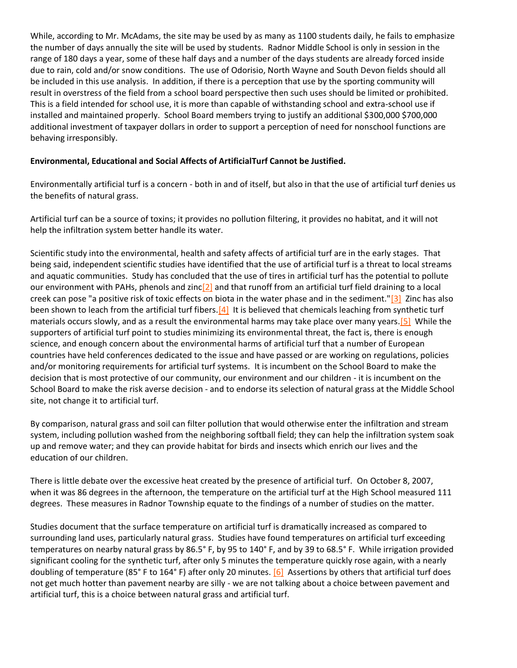While, according to Mr. McAdams, the site may be used by as many as 1100 students daily, he fails to emphasize the number of days annually the site will be used by students. Radnor Middle School is only in session in the range of 180 days a year, some of these half days and a number of the days students are already forced inside due to rain, cold and/or snow conditions. The use of Odorisio, North Wayne and South Devon fields should all be included in this use analysis. In addition, if there is a perception that use by the sporting community will result in overstress of the field from a school board perspective then such uses should be limited or prohibited. This is a field intended for school use, it is more than capable of withstanding school and extra-school use if installed and maintained properly. School Board members trying to justify an additional \$300,000 \$700,000 additional investment of taxpayer dollars in order to support a perception of need for nonschool functions are behaving irresponsibly.

#### **Environmental, Educational and Social Affects of ArtificialTurf Cannot be Justified.**

Environmentally artificial turf is a concern - both in and of itself, but also in that the use of artificial turf denies us the benefits of natural grass.

Artificial turf can be a source of toxins; it provides no pollution filtering, it provides no habitat, and it will not help the infiltration system better handle its water.

Scientific study into the environmental, health and safety affects of artificial turf are in the early stages. That being said, independent scientific studies have identified that the use of artificial turf is a threat to local streams and aquatic communities. Study has concluded that the use of tires in artificial turf has the potential to pollute our environment with PAHs, phenols and zinc $[2]$  and that runoff from an artificial turf field draining to a local creek can pose "a positive risk of toxic effects on biota in the water phase and in the sediment." $[3]$  Zinc has also been shown to leach from the artificial turf fibers. $[4]$  It is believed that chemicals leaching from synthetic turf materials occurs slowly, and as a result the environmental harms may take place over many years[.\[5\]](http://delawareriverkeeper.org/newsresources/factsheet.asp?ID=53#_ftn5) While the supporters of artificial turf point to studies minimizing its environmental threat, the fact is, there is enough science, and enough concern about the environmental harms of artificial turf that a number of European countries have held conferences dedicated to the issue and have passed or are working on regulations, policies and/or monitoring requirements for artificial turf systems. It is incumbent on the School Board to make the decision that is most protective of our community, our environment and our children - it is incumbent on the School Board to make the risk averse decision - and to endorse its selection of natural grass at the Middle School site, not change it to artificial turf.

By comparison, natural grass and soil can filter pollution that would otherwise enter the infiltration and stream system, including pollution washed from the neighboring softball field; they can help the infiltration system soak up and remove water; and they can provide habitat for birds and insects which enrich our lives and the education of our children.

There is little debate over the excessive heat created by the presence of artificial turf. On October 8, 2007, when it was 86 degrees in the afternoon, the temperature on the artificial turf at the High School measured 111 degrees. These measures in Radnor Township equate to the findings of a number of studies on the matter.

Studies document that the surface temperature on artificial turf is dramatically increased as compared to surrounding land uses, particularly natural grass. Studies have found temperatures on artificial turf exceeding temperatures on nearby natural grass by 86.5° F, by 95 to 140° F, and by 39 to 68.5° F. While irrigation provided significant cooling for the synthetic turf, after only 5 minutes the temperature quickly rose again, with a nearly doubling of temperature (85° F to 164° F) after only 20 minutes.  $[6]$  Assertions by others that artificial turf does not get much hotter than pavement nearby are silly - we are not talking about a choice between pavement and artificial turf, this is a choice between natural grass and artificial turf.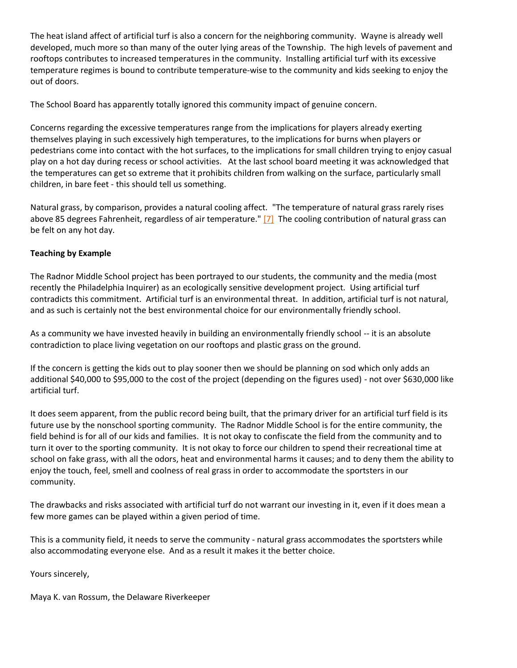The heat island affect of artificial turf is also a concern for the neighboring community. Wayne is already well developed, much more so than many of the outer lying areas of the Township. The high levels of pavement and rooftops contributes to increased temperatures in the community. Installing artificial turf with its excessive temperature regimes is bound to contribute temperature-wise to the community and kids seeking to enjoy the out of doors.

The School Board has apparently totally ignored this community impact of genuine concern.

Concerns regarding the excessive temperatures range from the implications for players already exerting themselves playing in such excessively high temperatures, to the implications for burns when players or pedestrians come into contact with the hot surfaces, to the implications for small children trying to enjoy casual play on a hot day during recess or school activities. At the last school board meeting it was acknowledged that the temperatures can get so extreme that it prohibits children from walking on the surface, particularly small children, in bare feet - this should tell us something.

Natural grass, by comparison, provides a natural cooling affect. "The temperature of natural grass rarely rises above 85 degrees Fahrenheit, regardless of air temperature." [\[7\]](http://delawareriverkeeper.org/newsresources/factsheet.asp?ID=53#_ftn7) The cooling contribution of natural grass can be felt on any hot day.

## **Teaching by Example**

The Radnor Middle School project has been portrayed to our students, the community and the media (most recently the Philadelphia Inquirer) as an ecologically sensitive development project. Using artificial turf contradicts this commitment. Artificial turf is an environmental threat. In addition, artificial turf is not natural, and as such is certainly not the best environmental choice for our environmentally friendly school.

As a community we have invested heavily in building an environmentally friendly school -- it is an absolute contradiction to place living vegetation on our rooftops and plastic grass on the ground.

If the concern is getting the kids out to play sooner then we should be planning on sod which only adds an additional \$40,000 to \$95,000 to the cost of the project (depending on the figures used) - not over \$630,000 like artificial turf.

It does seem apparent, from the public record being built, that the primary driver for an artificial turf field is its future use by the nonschool sporting community. The Radnor Middle School is for the entire community, the field behind is for all of our kids and families. It is not okay to confiscate the field from the community and to turn it over to the sporting community. It is not okay to force our children to spend their recreational time at school on fake grass, with all the odors, heat and environmental harms it causes; and to deny them the ability to enjoy the touch, feel, smell and coolness of real grass in order to accommodate the sportsters in our community.

The drawbacks and risks associated with artificial turf do not warrant our investing in it, even if it does mean a few more games can be played within a given period of time.

This is a community field, it needs to serve the community - natural grass accommodates the sportsters while also accommodating everyone else. And as a result it makes it the better choice.

Yours sincerely,

Maya K. van Rossum, the Delaware Riverkeeper